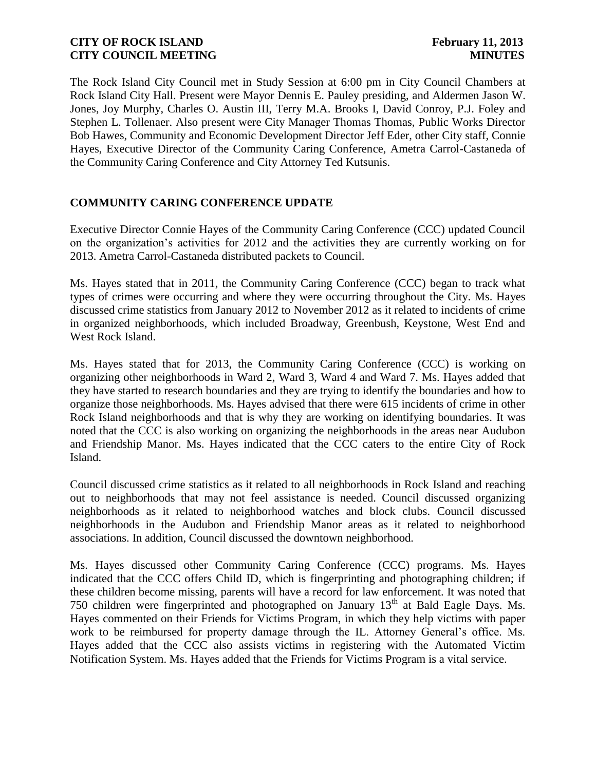The Rock Island City Council met in Study Session at 6:00 pm in City Council Chambers at Rock Island City Hall. Present were Mayor Dennis E. Pauley presiding, and Aldermen Jason W. Jones, Joy Murphy, Charles O. Austin III, Terry M.A. Brooks I, David Conroy, P.J. Foley and Stephen L. Tollenaer. Also present were City Manager Thomas Thomas, Public Works Director Bob Hawes, Community and Economic Development Director Jeff Eder, other City staff, Connie Hayes, Executive Director of the Community Caring Conference, Ametra Carrol-Castaneda of the Community Caring Conference and City Attorney Ted Kutsunis.

# **COMMUNITY CARING CONFERENCE UPDATE**

Executive Director Connie Hayes of the Community Caring Conference (CCC) updated Council on the organization's activities for 2012 and the activities they are currently working on for 2013. Ametra Carrol-Castaneda distributed packets to Council.

Ms. Hayes stated that in 2011, the Community Caring Conference (CCC) began to track what types of crimes were occurring and where they were occurring throughout the City. Ms. Hayes discussed crime statistics from January 2012 to November 2012 as it related to incidents of crime in organized neighborhoods, which included Broadway, Greenbush, Keystone, West End and West Rock Island.

Ms. Hayes stated that for 2013, the Community Caring Conference (CCC) is working on organizing other neighborhoods in Ward 2, Ward 3, Ward 4 and Ward 7. Ms. Hayes added that they have started to research boundaries and they are trying to identify the boundaries and how to organize those neighborhoods. Ms. Hayes advised that there were 615 incidents of crime in other Rock Island neighborhoods and that is why they are working on identifying boundaries. It was noted that the CCC is also working on organizing the neighborhoods in the areas near Audubon and Friendship Manor. Ms. Hayes indicated that the CCC caters to the entire City of Rock Island.

Council discussed crime statistics as it related to all neighborhoods in Rock Island and reaching out to neighborhoods that may not feel assistance is needed. Council discussed organizing neighborhoods as it related to neighborhood watches and block clubs. Council discussed neighborhoods in the Audubon and Friendship Manor areas as it related to neighborhood associations. In addition, Council discussed the downtown neighborhood.

Ms. Hayes discussed other Community Caring Conference (CCC) programs. Ms. Hayes indicated that the CCC offers Child ID, which is fingerprinting and photographing children; if these children become missing, parents will have a record for law enforcement. It was noted that 750 children were fingerprinted and photographed on January  $13<sup>th</sup>$  at Bald Eagle Days. Ms. Hayes commented on their Friends for Victims Program, in which they help victims with paper work to be reimbursed for property damage through the IL. Attorney General's office. Ms. Hayes added that the CCC also assists victims in registering with the Automated Victim Notification System. Ms. Hayes added that the Friends for Victims Program is a vital service.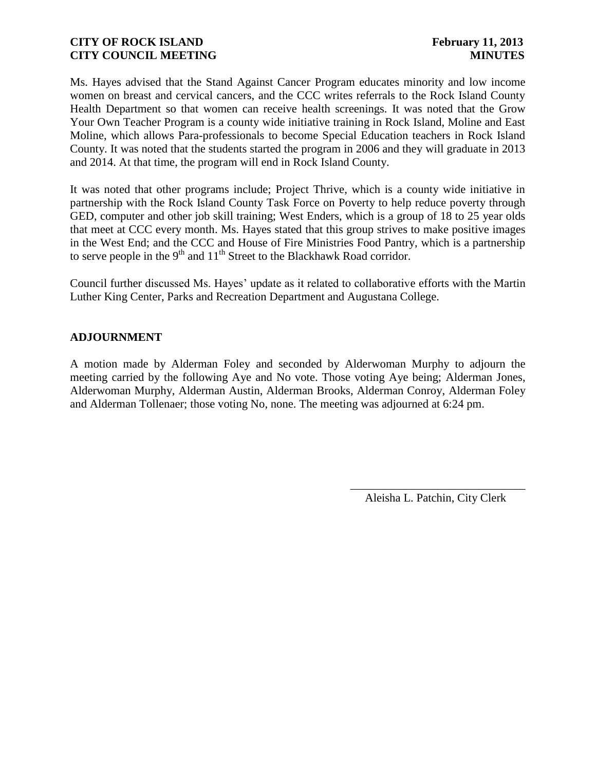Ms. Hayes advised that the Stand Against Cancer Program educates minority and low income women on breast and cervical cancers, and the CCC writes referrals to the Rock Island County Health Department so that women can receive health screenings. It was noted that the Grow Your Own Teacher Program is a county wide initiative training in Rock Island, Moline and East Moline, which allows Para-professionals to become Special Education teachers in Rock Island County. It was noted that the students started the program in 2006 and they will graduate in 2013 and 2014. At that time, the program will end in Rock Island County.

It was noted that other programs include; Project Thrive, which is a county wide initiative in partnership with the Rock Island County Task Force on Poverty to help reduce poverty through GED, computer and other job skill training; West Enders, which is a group of 18 to 25 year olds that meet at CCC every month. Ms. Hayes stated that this group strives to make positive images in the West End; and the CCC and House of Fire Ministries Food Pantry, which is a partnership to serve people in the  $9<sup>th</sup>$  and  $11<sup>th</sup>$  Street to the Blackhawk Road corridor.

Council further discussed Ms. Hayes' update as it related to collaborative efforts with the Martin Luther King Center, Parks and Recreation Department and Augustana College.

# **ADJOURNMENT**

A motion made by Alderman Foley and seconded by Alderwoman Murphy to adjourn the meeting carried by the following Aye and No vote. Those voting Aye being; Alderman Jones, Alderwoman Murphy, Alderman Austin, Alderman Brooks, Alderman Conroy, Alderman Foley and Alderman Tollenaer; those voting No, none. The meeting was adjourned at 6:24 pm.

> \_\_\_\_\_\_\_\_\_\_\_\_\_\_\_\_\_\_\_\_\_\_\_\_\_\_\_\_\_\_ Aleisha L. Patchin, City Clerk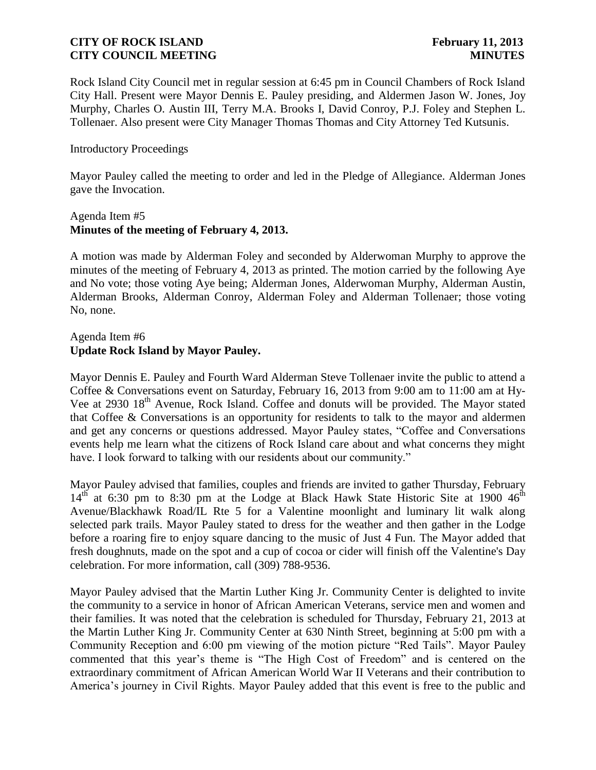Rock Island City Council met in regular session at 6:45 pm in Council Chambers of Rock Island City Hall. Present were Mayor Dennis E. Pauley presiding, and Aldermen Jason W. Jones, Joy Murphy, Charles O. Austin III, Terry M.A. Brooks I, David Conroy, P.J. Foley and Stephen L. Tollenaer. Also present were City Manager Thomas Thomas and City Attorney Ted Kutsunis.

## Introductory Proceedings

Mayor Pauley called the meeting to order and led in the Pledge of Allegiance. Alderman Jones gave the Invocation.

## Agenda Item #5 **Minutes of the meeting of February 4, 2013.**

A motion was made by Alderman Foley and seconded by Alderwoman Murphy to approve the minutes of the meeting of February 4, 2013 as printed. The motion carried by the following Aye and No vote; those voting Aye being; Alderman Jones, Alderwoman Murphy, Alderman Austin, Alderman Brooks, Alderman Conroy, Alderman Foley and Alderman Tollenaer; those voting No, none.

# Agenda Item #6 **Update Rock Island by Mayor Pauley.**

Mayor Dennis E. Pauley and Fourth Ward Alderman Steve Tollenaer invite the public to attend a Coffee & Conversations event on Saturday, February 16, 2013 from 9:00 am to 11:00 am at Hy-Vee at 2930 18<sup>th</sup> Avenue, Rock Island. Coffee and donuts will be provided. The Mayor stated that Coffee & Conversations is an opportunity for residents to talk to the mayor and aldermen and get any concerns or questions addressed. Mayor Pauley states, "Coffee and Conversations events help me learn what the citizens of Rock Island care about and what concerns they might have. I look forward to talking with our residents about our community."

Mayor Pauley advised that families, couples and friends are invited to gather Thursday, February  $14<sup>th</sup>$  at 6:30 pm to 8:30 pm at the Lodge at Black Hawk State Historic Site at 1900  $46<sup>th</sup>$ Avenue/Blackhawk Road/IL Rte 5 for a Valentine moonlight and luminary lit walk along selected park trails. Mayor Pauley stated to dress for the weather and then gather in the Lodge before a roaring fire to enjoy square dancing to the music of Just 4 Fun. The Mayor added that fresh doughnuts, made on the spot and a cup of cocoa or cider will finish off the Valentine's Day celebration. For more information, call (309) 788-9536.

Mayor Pauley advised that the Martin Luther King Jr. Community Center is delighted to invite the community to a service in honor of African American Veterans, service men and women and their families. It was noted that the celebration is scheduled for Thursday, February 21, 2013 at the Martin Luther King Jr. Community Center at 630 Ninth Street, beginning at 5:00 pm with a Community Reception and 6:00 pm viewing of the motion picture "Red Tails". Mayor Pauley commented that this year's theme is "The High Cost of Freedom" and is centered on the extraordinary commitment of African American World War II Veterans and their contribution to America's journey in Civil Rights. Mayor Pauley added that this event is free to the public and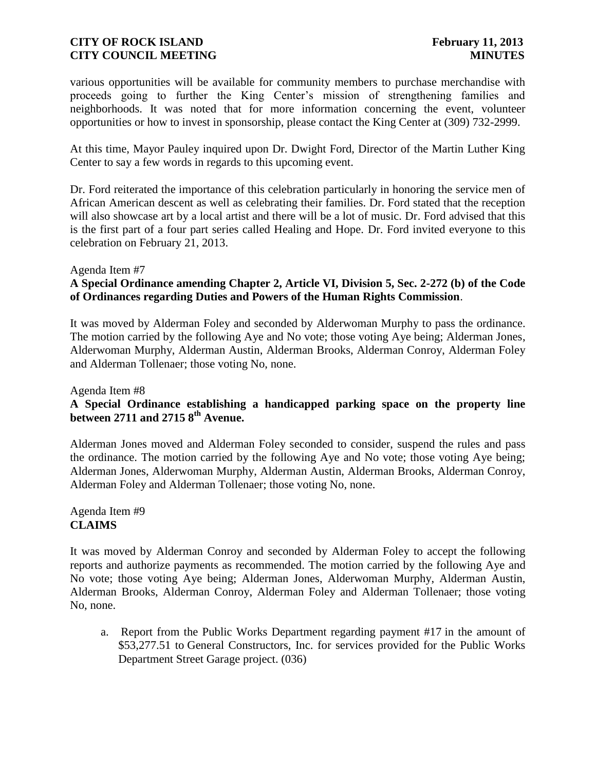various opportunities will be available for community members to purchase merchandise with proceeds going to further the King Center's mission of strengthening families and neighborhoods. It was noted that for more information concerning the event, volunteer opportunities or how to invest in sponsorship, please contact the King Center at (309) 732-2999.

At this time, Mayor Pauley inquired upon Dr. Dwight Ford, Director of the Martin Luther King Center to say a few words in regards to this upcoming event.

Dr. Ford reiterated the importance of this celebration particularly in honoring the service men of African American descent as well as celebrating their families. Dr. Ford stated that the reception will also showcase art by a local artist and there will be a lot of music. Dr. Ford advised that this is the first part of a four part series called Healing and Hope. Dr. Ford invited everyone to this celebration on February 21, 2013.

### Agenda Item #7

# **A Special Ordinance amending Chapter 2, Article VI, Division 5, Sec. 2-272 (b) of the Code of Ordinances regarding Duties and Powers of the Human Rights Commission**.

It was moved by Alderman Foley and seconded by Alderwoman Murphy to pass the ordinance. The motion carried by the following Aye and No vote; those voting Aye being; Alderman Jones, Alderwoman Murphy, Alderman Austin, Alderman Brooks, Alderman Conroy, Alderman Foley and Alderman Tollenaer; those voting No, none.

#### Agenda Item #8

## **A Special Ordinance establishing a handicapped parking space on the property line between 2711 and 2715 8th Avenue.**

Alderman Jones moved and Alderman Foley seconded to consider, suspend the rules and pass the ordinance. The motion carried by the following Aye and No vote; those voting Aye being; Alderman Jones, Alderwoman Murphy, Alderman Austin, Alderman Brooks, Alderman Conroy, Alderman Foley and Alderman Tollenaer; those voting No, none.

Agenda Item #9 **CLAIMS**

It was moved by Alderman Conroy and seconded by Alderman Foley to accept the following reports and authorize payments as recommended. The motion carried by the following Aye and No vote; those voting Aye being; Alderman Jones, Alderwoman Murphy, Alderman Austin, Alderman Brooks, Alderman Conroy, Alderman Foley and Alderman Tollenaer; those voting No, none.

a. Report from the Public Works Department regarding payment #17 in the amount of \$53,277.51 to General Constructors, Inc. for services provided for the Public Works Department Street Garage project. (036)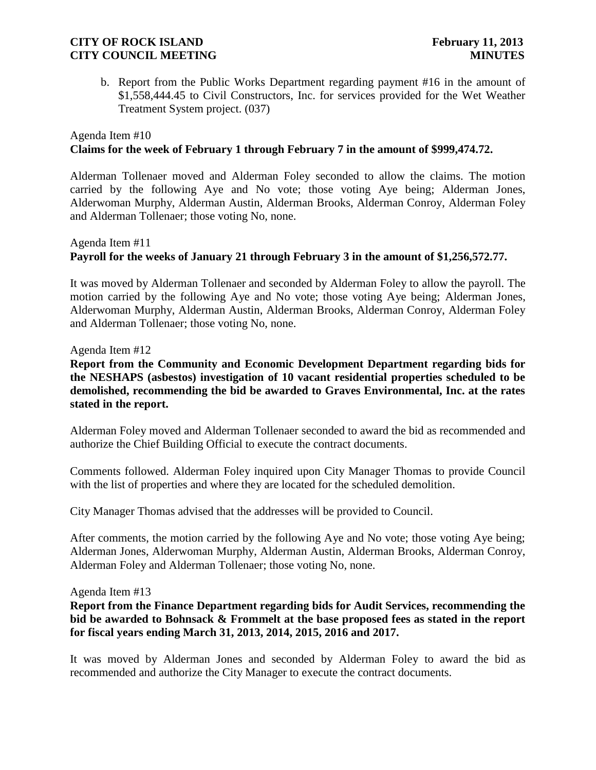b. Report from the Public Works Department regarding payment #16 in the amount of \$1,558,444.45 to Civil Constructors, Inc. for services provided for the Wet Weather Treatment System project. (037)

# Agenda Item #10 **Claims for the week of February 1 through February 7 in the amount of \$999,474.72.**

Alderman Tollenaer moved and Alderman Foley seconded to allow the claims. The motion carried by the following Aye and No vote; those voting Aye being; Alderman Jones, Alderwoman Murphy, Alderman Austin, Alderman Brooks, Alderman Conroy, Alderman Foley and Alderman Tollenaer; those voting No, none.

# Agenda Item #11 **Payroll for the weeks of January 21 through February 3 in the amount of \$1,256,572.77.**

It was moved by Alderman Tollenaer and seconded by Alderman Foley to allow the payroll. The motion carried by the following Aye and No vote; those voting Aye being; Alderman Jones, Alderwoman Murphy, Alderman Austin, Alderman Brooks, Alderman Conroy, Alderman Foley and Alderman Tollenaer; those voting No, none.

Agenda Item #12

**Report from the Community and Economic Development Department regarding bids for the NESHAPS (asbestos) investigation of 10 vacant residential properties scheduled to be demolished, recommending the bid be awarded to Graves Environmental, Inc. at the rates stated in the report.** 

Alderman Foley moved and Alderman Tollenaer seconded to award the bid as recommended and authorize the Chief Building Official to execute the contract documents.

Comments followed. Alderman Foley inquired upon City Manager Thomas to provide Council with the list of properties and where they are located for the scheduled demolition.

City Manager Thomas advised that the addresses will be provided to Council.

After comments, the motion carried by the following Aye and No vote; those voting Aye being; Alderman Jones, Alderwoman Murphy, Alderman Austin, Alderman Brooks, Alderman Conroy, Alderman Foley and Alderman Tollenaer; those voting No, none.

### Agenda Item #13

## **Report from the Finance Department regarding bids for Audit Services, recommending the bid be awarded to Bohnsack & Frommelt at the base proposed fees as stated in the report for fiscal years ending March 31, 2013, 2014, 2015, 2016 and 2017.**

It was moved by Alderman Jones and seconded by Alderman Foley to award the bid as recommended and authorize the City Manager to execute the contract documents.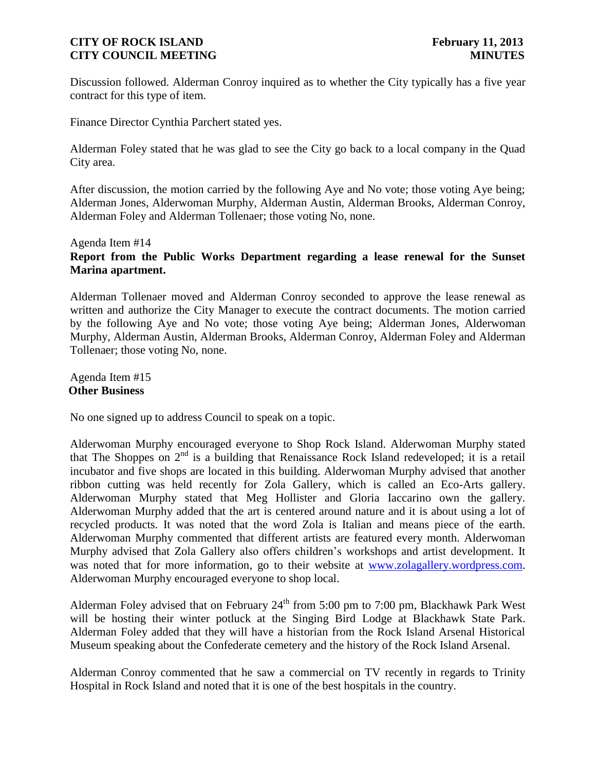Discussion followed. Alderman Conroy inquired as to whether the City typically has a five year contract for this type of item.

Finance Director Cynthia Parchert stated yes.

Alderman Foley stated that he was glad to see the City go back to a local company in the Quad City area.

After discussion, the motion carried by the following Aye and No vote; those voting Aye being; Alderman Jones, Alderwoman Murphy, Alderman Austin, Alderman Brooks, Alderman Conroy, Alderman Foley and Alderman Tollenaer; those voting No, none.

# Agenda Item #14 **Report from the Public Works Department regarding a lease renewal for the Sunset Marina apartment.**

Alderman Tollenaer moved and Alderman Conroy seconded to approve the lease renewal as written and authorize the City Manager to execute the contract documents. The motion carried by the following Aye and No vote; those voting Aye being; Alderman Jones, Alderwoman Murphy, Alderman Austin, Alderman Brooks, Alderman Conroy, Alderman Foley and Alderman Tollenaer; those voting No, none.

Agenda Item #15 **Other Business**

No one signed up to address Council to speak on a topic.

Alderwoman Murphy encouraged everyone to Shop Rock Island. Alderwoman Murphy stated that The Shoppes on  $2<sup>nd</sup>$  is a building that Renaissance Rock Island redeveloped; it is a retail incubator and five shops are located in this building. Alderwoman Murphy advised that another ribbon cutting was held recently for Zola Gallery, which is called an Eco-Arts gallery. Alderwoman Murphy stated that Meg Hollister and Gloria Iaccarino own the gallery. Alderwoman Murphy added that the art is centered around nature and it is about using a lot of recycled products. It was noted that the word Zola is Italian and means piece of the earth. Alderwoman Murphy commented that different artists are featured every month. Alderwoman Murphy advised that Zola Gallery also offers children's workshops and artist development. It was noted that for more information, go to their website at [www.zolagallery.wordpress.com.](http://www.zolagallery.wordpress.com/) Alderwoman Murphy encouraged everyone to shop local.

Alderman Foley advised that on February  $24<sup>th</sup>$  from 5:00 pm to 7:00 pm, Blackhawk Park West will be hosting their winter potluck at the Singing Bird Lodge at Blackhawk State Park. Alderman Foley added that they will have a historian from the Rock Island Arsenal Historical Museum speaking about the Confederate cemetery and the history of the Rock Island Arsenal.

Alderman Conroy commented that he saw a commercial on TV recently in regards to Trinity Hospital in Rock Island and noted that it is one of the best hospitals in the country.